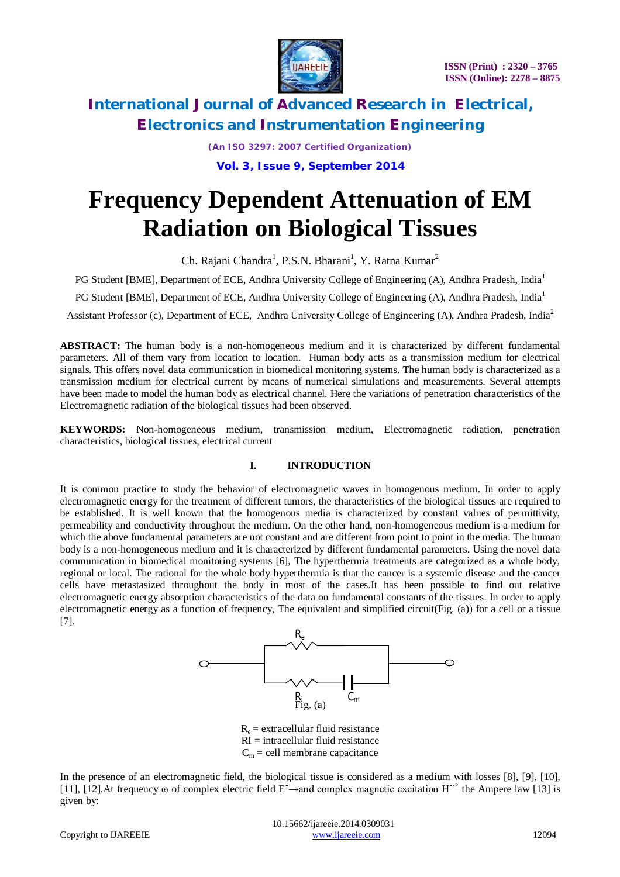

*(An ISO 3297: 2007 Certified Organization)*

 **Vol. 3, Issue 9, September 2014**

# **Frequency Dependent Attenuation of EM Radiation on Biological Tissues**

Ch. Rajani Chandra<sup>1</sup>, P.S.N. Bharani<sup>1</sup>, Y. Ratna Kumar<sup>2</sup>

PG Student [BME], Department of ECE, Andhra University College of Engineering (A), Andhra Pradesh, India<sup>1</sup>

PG Student [BME], Department of ECE, Andhra University College of Engineering (A), Andhra Pradesh, India<sup>1</sup>

Assistant Professor (c), Department of ECE, Andhra University College of Engineering (A), Andhra Pradesh, India<sup>2</sup>

**ABSTRACT:** The human body is a non-homogeneous medium and it is characterized by different fundamental parameters. All of them vary from location to location. Human body acts as a transmission medium for electrical signals. This offers novel data communication in biomedical monitoring systems. The human body is characterized as a transmission medium for electrical current by means of numerical simulations and measurements. Several attempts have been made to model the human body as electrical channel. Here the variations of penetration characteristics of the Electromagnetic radiation of the biological tissues had been observed.

**KEYWORDS:** Non-homogeneous medium, transmission medium, Electromagnetic radiation, penetration characteristics, biological tissues, electrical current

### **I. INTRODUCTION**

It is common practice to study the behavior of electromagnetic waves in homogenous medium. In order to apply electromagnetic energy for the treatment of different tumors, the characteristics of the biological tissues are required to be established. It is well known that the homogenous media is characterized by constant values of permittivity, permeability and conductivity throughout the medium. On the other hand, non-homogeneous medium is a medium for which the above fundamental parameters are not constant and are different from point to point in the media. The human body is a non-homogeneous medium and it is characterized by different fundamental parameters. Using the novel data communication in biomedical monitoring systems [6], The hyperthermia treatments are categorized as a whole body, regional or local. The rational for the whole body hyperthermia is that the cancer is a systemic disease and the cancer cells have metastasized throughout the body in most of the cases.It has been possible to find out relative electromagnetic energy absorption characteristics of the data on fundamental constants of the tissues. In order to apply electromagnetic energy as a function of frequency, The equivalent and simplified circuit(Fig. (a)) for a cell or a tissue [7].



 $R_e$  = extracellular fluid resistance  $RI =$  intracellular fluid resistance  $C_m$  = cell membrane capacitance

In the presence of an electromagnetic field, the biological tissue is considered as a medium with losses [8], [9], [10], [11], [12]. At frequency ω of complex electric field E<sup>^</sup>→and complex magnetic excitation H<sup> $\sim$ </sup> the Ampere law [13] is given by: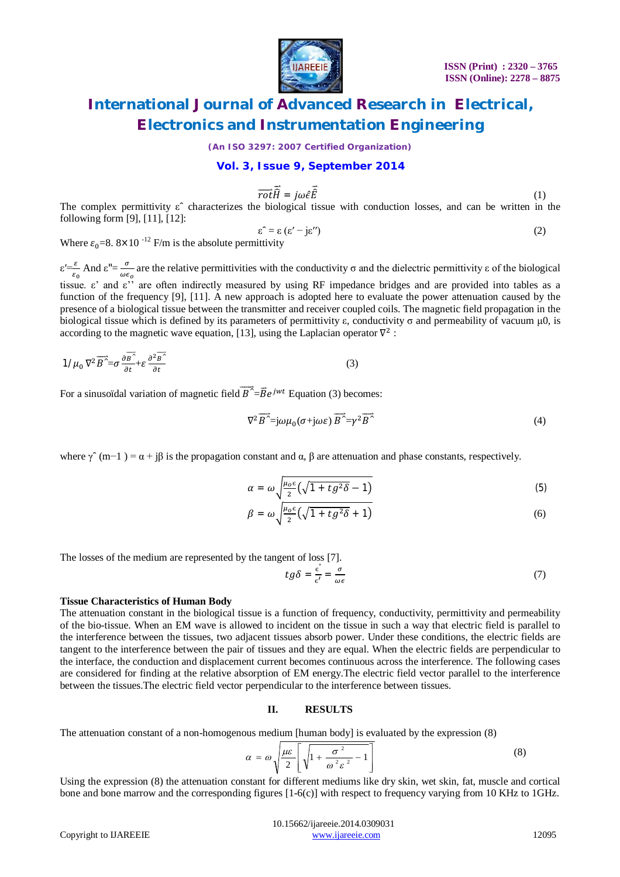

*(An ISO 3297: 2007 Certified Organization)*

#### **Vol. 3, Issue 9, September 2014**

$$
\overrightarrow{rot}\overrightarrow{R} = j\omega\hat{\epsilon}\overrightarrow{E}
$$
 (1)

The complex permittivity  $\varepsilon$  characterizes the biological tissue with conduction losses, and can be written in the following form [9], [11], [12]:

$$
\varepsilon^{\hat{}} = \varepsilon \left( \varepsilon' - j \varepsilon'' \right) \tag{2}
$$

Where  $\varepsilon_0 = 8.8 \times 10^{-12}$  F/m is the absolute permittivity

 $\varepsilon' = \frac{\varepsilon}{\varepsilon_0}$  And  $\varepsilon'' = \frac{\sigma}{\omega \varepsilon}$  $\frac{6}{\omega \epsilon_0}$  are the relative permittivities with the conductivity  $\sigma$  and the dielectric permittivity  $\epsilon$  of the biological tissue. ε' and ε'' are often indirectly measured by using RF impedance bridges and are provided into tables as a function of the frequency [9], [11]. A new approach is adopted here to evaluate the power attenuation caused by the presence of a biological tissue between the transmitter and receiver coupled coils. The magnetic field propagation in the biological tissue which is defined by its parameters of permittivity ε, conductivity σ and permeability of vacuum μ0, is according to the magnetic wave equation, [13], using the Laplacian operator  $\nabla^2$ :

$$
1/\mu_0 \nabla^2 \overrightarrow{B'} = \sigma \frac{\partial \overrightarrow{B'}}{\partial t} + \varepsilon \frac{\partial^2 \overrightarrow{B'}}{\partial t}
$$
 (3)

For a sinusoïdal variation of magnetic field  $\overline{B}^{\lambda} = \overline{B}e^{jwt}$  Equation (3) becomes:

$$
\nabla^2 \overrightarrow{B}^{\sim} = j\omega\mu_0(\sigma + j\omega\varepsilon) \overrightarrow{B}^{\sim} = \gamma^2 \overrightarrow{B}^{\sim}
$$
 (4)

where  $\gamma$  (m−1) =  $\alpha$  + iβ is the propagation constant and  $\alpha$ , β are attenuation and phase constants, respectively.

$$
\alpha = \omega \sqrt{\frac{\mu_0 \epsilon}{2} \left( \sqrt{1 + t g^2 \delta} - 1 \right)}
$$
(5)

$$
\beta = \omega \sqrt{\frac{\mu_0 \epsilon}{2} \left( \sqrt{1 + t g^2 \delta} + 1 \right)} \tag{6}
$$

The losses of the medium are represented by the tangent of loss [7].

$$
tg\delta = \frac{\epsilon^{\prime}}{\epsilon'} = \frac{\sigma}{\omega\epsilon} \tag{7}
$$

#### **Tissue Characteristics of Human Body**

The attenuation constant in the biological tissue is a function of frequency, conductivity, permittivity and permeability of the bio-tissue. When an EM wave is allowed to incident on the tissue in such a way that electric field is parallel to the interference between the tissues, two adjacent tissues absorb power. Under these conditions, the electric fields are tangent to the interference between the pair of tissues and they are equal. When the electric fields are perpendicular to the interface, the conduction and displacement current becomes continuous across the interference. The following cases are considered for finding at the relative absorption of EM energy.The electric field vector parallel to the interference between the tissues.The electric field vector perpendicular to the interference between tissues.

#### **II. RESULTS**

The attenuation constant of a non-homogenous medium [human body] is evaluated by the expression (8)

$$
\alpha = \omega \sqrt{\frac{\mu \varepsilon}{2} \left[ \sqrt{1 + \frac{\sigma^2}{\omega^2 \varepsilon^2} - 1} \right]}
$$
 (8)

Using the expression (8) the attenuation constant for different mediums like dry skin, wet skin, fat, muscle and cortical bone and bone marrow and the corresponding figures [1-6(c)] with respect to frequency varying from 10 KHz to 1GHz.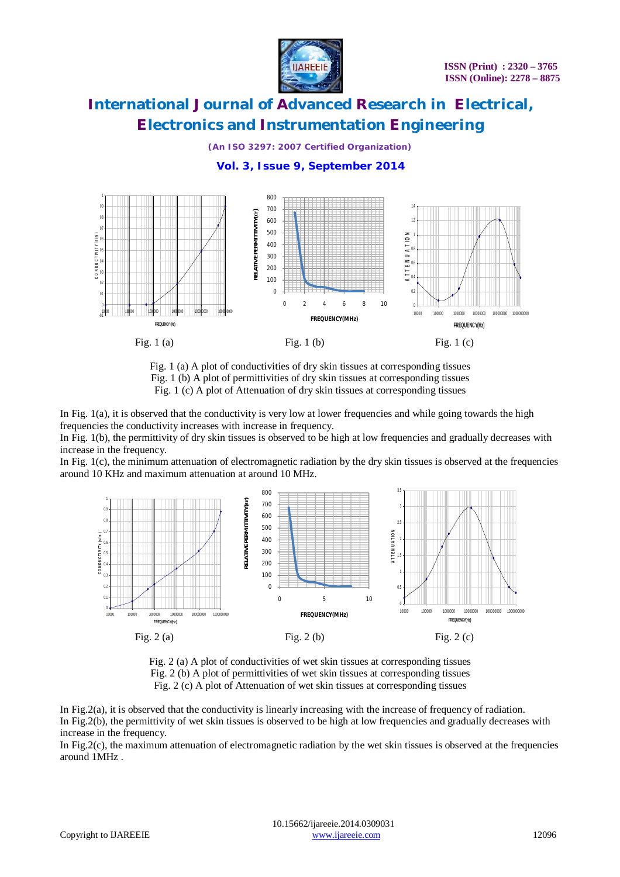

### *(An ISO 3297: 2007 Certified Organization)*

800 1 700 0.9 1.4 RELATIVE PERMITTIVITY (cr) **RELATIVE PERMITTIVITY(єr)** 600 0.8 1.2 0.7 500  $\begin{array}{ccc}\n0 & 0 & 0 & 0 & 0 \\
0 & 0 & 0 & 0 \\
0 & 0 & 0 & 0\n\end{array}$ **A T T E N U A T I O N** 0.6 400 0.8 0.5 300 0.4  $200$ 0.6 0.3 100 0.4 0.2  $\Omega$ 0.2 0.1 0 2 4 6 8 10 0 0 10000 100000 1000000 10000000 100000000 1000000000 **FREQUENCY(MHz)** 10000 100000 1000000 10000000 100000000 1000000000 -0.1 **FREQUENCY(Hz) FREQUENCY (Hz)** Fig. 1 (a) Fig. 1 (b) Fig. 1 (c)

### **Vol. 3, Issue 9, September 2014**



In Fig. 1(a), it is observed that the conductivity is very low at lower frequencies and while going towards the high frequencies the conductivity increases with increase in frequency.

In Fig. 1(b), the permittivity of dry skin tissues is observed to be high at low frequencies and gradually decreases with increase in the frequency.

In Fig. 1(c), the minimum attenuation of electromagnetic radiation by the dry skin tissues is observed at the frequencies around 10 KHz and maximum attenuation at around 10 MHz.



Fig. 2 (a) A plot of conductivities of wet skin tissues at corresponding tissues Fig. 2 (b) A plot of permittivities of wet skin tissues at corresponding tissues Fig. 2 (c) A plot of Attenuation of wet skin tissues at corresponding tissues

In Fig.2(a), it is observed that the conductivity is linearly increasing with the increase of frequency of radiation. In Fig.2(b), the permittivity of wet skin tissues is observed to be high at low frequencies and gradually decreases with increase in the frequency.

In Fig.2(c), the maximum attenuation of electromagnetic radiation by the wet skin tissues is observed at the frequencies around 1MHz .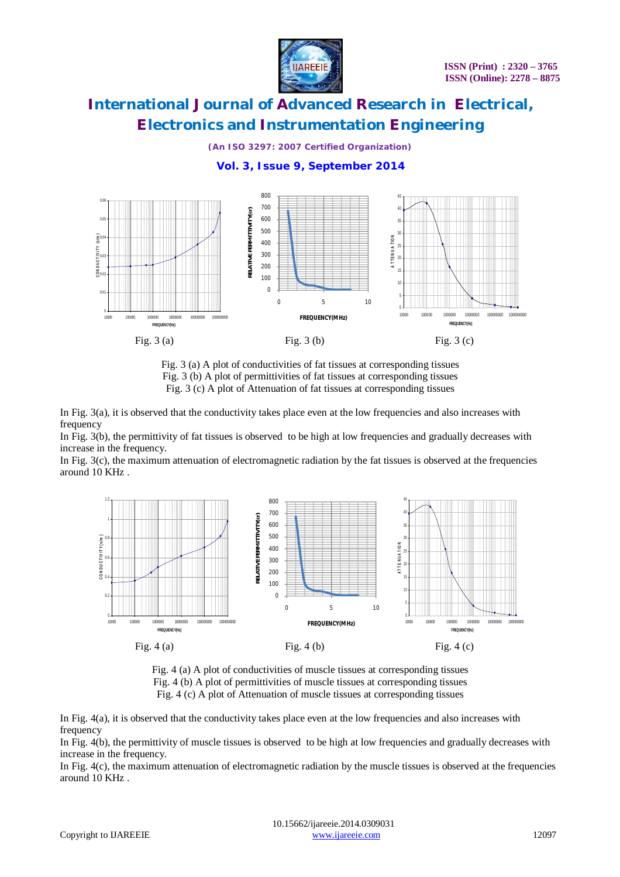

## *(An ISO 3297: 2007 Certified Organization)*  **Vol. 3, Issue 9, September 2014**



#### Fig. 3 (a) A plot of conductivities of fat tissues at corresponding tissues Fig. 3 (b) A plot of permittivities of fat tissues at corresponding tissues Fig. 3 (c) A plot of Attenuation of fat tissues at corresponding tissues

In Fig. 3(a), it is observed that the conductivity takes place even at the low frequencies and also increases with frequency

In Fig. 3(b), the permittivity of fat tissues is observed to be high at low frequencies and gradually decreases with increase in the frequency.

In Fig. 3(c), the maximum attenuation of electromagnetic radiation by the fat tissues is observed at the frequencies around 10 KHz .





In Fig. 4(a), it is observed that the conductivity takes place even at the low frequencies and also increases with frequency

In Fig. 4(b), the permittivity of muscle tissues is observed to be high at low frequencies and gradually decreases with increase in the frequency.

In Fig. 4(c), the maximum attenuation of electromagnetic radiation by the muscle tissues is observed at the frequencies around 10 KHz .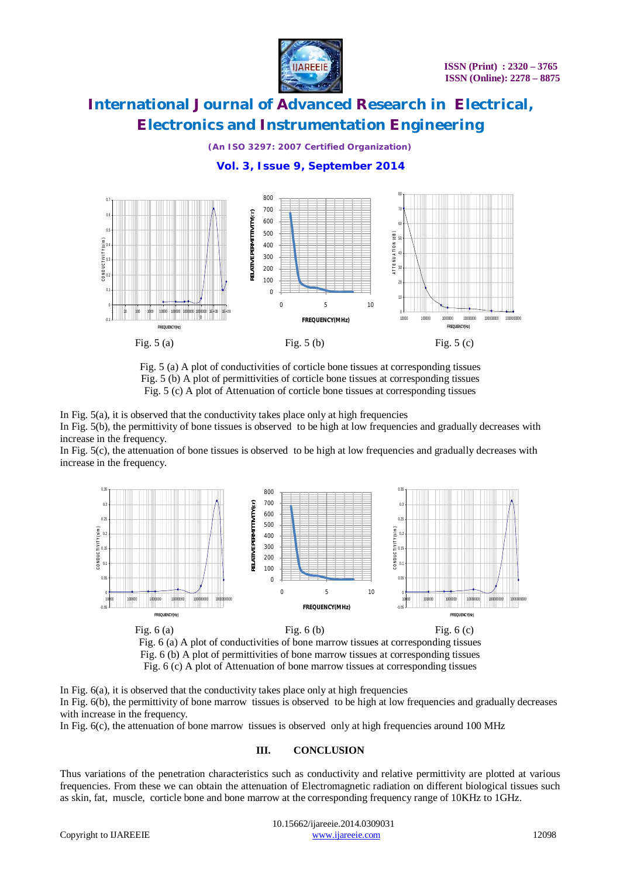

### *(An ISO 3297: 2007 Certified Organization)*

 **Vol. 3, Issue 9, September 2014**



Fig. 5 (a) A plot of conductivities of corticle bone tissues at corresponding tissues Fig. 5 (b) A plot of permittivities of corticle bone tissues at corresponding tissues Fig. 5 (c) A plot of Attenuation of corticle bone tissues at corresponding tissues

In Fig.  $5(a)$ , it is observed that the conductivity takes place only at high frequencies In Fig. 5(b), the permittivity of bone tissues is observed to be high at low frequencies and gradually decreases with increase in the frequency.

In Fig. 5(c), the attenuation of bone tissues is observed to be high at low frequencies and gradually decreases with increase in the frequency.





In Fig. 6(a), it is observed that the conductivity takes place only at high frequencies In Fig. 6(b), the permittivity of bone marrow tissues is observed to be high at low frequencies and gradually decreases with increase in the frequency.

In Fig. 6(c), the attenuation of bone marrow tissues is observed only at high frequencies around 100 MHz

### **III. CONCLUSION**

Thus variations of the penetration characteristics such as conductivity and relative permittivity are plotted at various frequencies. From these we can obtain the attenuation of Electromagnetic radiation on different biological tissues such as skin, fat, muscle, corticle bone and bone marrow at the corresponding frequency range of 10KHz to 1GHz.